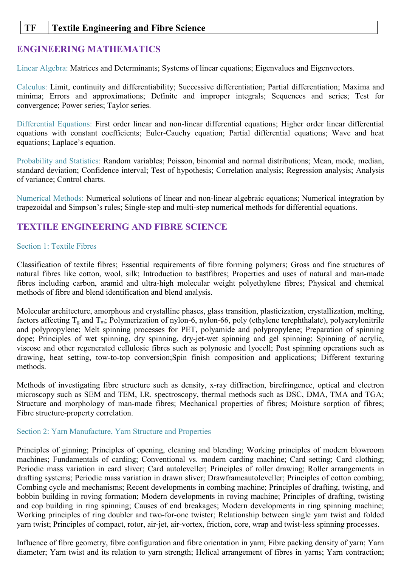### **TF Textile Engineering and Fibre Science**

# **ENGINEERING MATHEMATICS**

Linear Algebra: Matrices and Determinants; Systems of linear equations; Eigenvalues and Eigenvectors.

Calculus: Limit, continuity and differentiability; Successive differentiation; Partial differentiation; Maxima and minima; Errors and approximations; Definite and improper integrals; Sequences and series; Test for convergence; Power series; Taylor series.

Differential Equations: First order linear and non-linear differential equations; Higher order linear differential equations with constant coefficients; Euler-Cauchy equation; Partial differential equations; Wave and heat equations; Laplace's equation.

Probability and Statistics: Random variables; Poisson, binomial and normal distributions; Mean, mode, median, standard deviation; Confidence interval; Test of hypothesis; Correlation analysis; Regression analysis; Analysis of variance; Control charts.

Numerical Methods: Numerical solutions of linear and non-linear algebraic equations; Numerical integration by trapezoidal and Simpson's rules; Single-step and multi-step numerical methods for differential equations.

## **TEXTILE ENGINEERING AND FIBRE SCIENCE**

#### Section 1: Textile Fibres

Classification of textile fibres; Essential requirements of fibre forming polymers; Gross and fine structures of natural fibres like cotton, wool, silk; Introduction to bastfibres; Properties and uses of natural and man-made fibres including carbon, aramid and ultra-high molecular weight polyethylene fibres; Physical and chemical methods of fibre and blend identification and blend analysis.

Molecular architecture, amorphous and crystalline phases, glass transition, plasticization, crystallization, melting, factors affecting  $T_g$  and  $T_m$ ; Polymerization of nylon-6, nylon-66, poly (ethylene terephthalate), polyacrylonitrile and polypropylene; Melt spinning processes for PET, polyamide and polypropylene; Preparation of spinning dope; Principles of wet spinning, dry spinning, dry-jet-wet spinning and gel spinning; Spinning of acrylic, viscose and other regenerated cellulosic fibres such as polynosic and lyocell; Post spinning operations such as drawing, heat setting, tow-to-top conversion;Spin finish composition and applications; Different texturing methods.

Methods of investigating fibre structure such as density, x-ray diffraction, birefringence, optical and electron microscopy such as SEM and TEM, I.R. spectroscopy, thermal methods such as DSC, DMA, TMA and TGA; Structure and morphology of man-made fibres; Mechanical properties of fibres; Moisture sorption of fibres; Fibre structure-property correlation.

### Section 2: Yarn Manufacture, Yarn Structure and Properties

Principles of ginning; Principles of opening, cleaning and blending; Working principles of modern blowroom machines; Fundamentals of carding; Conventional vs. modern carding machine; Card setting; Card clothing; Periodic mass variation in card sliver; Card autoleveller; Principles of roller drawing; Roller arrangements in drafting systems; Periodic mass variation in drawn sliver; Drawframeautoleveller; Principles of cotton combing; Combing cycle and mechanisms; Recent developments in combing machine; Principles of drafting, twisting, and bobbin building in roving formation; Modern developments in roving machine; Principles of drafting, twisting and cop building in ring spinning; Causes of end breakages; Modern developments in ring spinning machine; Working principles of ring doubler and two-for-one twister; Relationship between single yarn twist and folded yarn twist; Principles of compact, rotor, air-jet, air-vortex, friction, core, wrap and twist-less spinning processes.

Influence of fibre geometry, fibre configuration and fibre orientation in yarn; Fibre packing density of yarn; Yarn diameter; Yarn twist and its relation to yarn strength; Helical arrangement of fibres in yarns; Yarn contraction;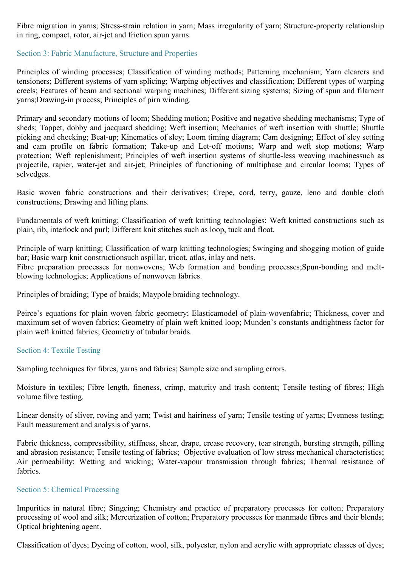Fibre migration in yarns; Stress-strain relation in yarn; Mass irregularity of yarn; Structure-property relationship in ring, compact, rotor, air-jet and friction spun yarns.

### Section 3: Fabric Manufacture, Structure and Properties

Principles of winding processes; Classification of winding methods; Patterning mechanism; Yarn clearers and tensioners; Different systems of yarn splicing; Warping objectives and classification; Different types of warping creels; Features of beam and sectional warping machines; Different sizing systems; Sizing of spun and filament yarns;Drawing-in process; Principles of pirn winding.

Primary and secondary motions of loom; Shedding motion; Positive and negative shedding mechanisms; Type of sheds; Tappet, dobby and jacquard shedding; Weft insertion; Mechanics of weft insertion with shuttle; Shuttle picking and checking; Beat-up; Kinematics of sley; Loom timing diagram; Cam designing; Effect of sley setting and cam profile on fabric formation; Take-up and Let-off motions; Warp and weft stop motions; Warp protection; Weft replenishment; Principles of weft insertion systems of shuttle-less weaving machinessuch as projectile, rapier, water-jet and air-jet; Principles of functioning of multiphase and circular looms; Types of selvedges.

Basic woven fabric constructions and their derivatives; Crepe, cord, terry, gauze, leno and double cloth constructions; Drawing and lifting plans.

Fundamentals of weft knitting; Classification of weft knitting technologies; Weft knitted constructions such as plain, rib, interlock and purl; Different knit stitches such as loop, tuck and float.

Principle of warp knitting; Classification of warp knitting technologies; Swinging and shogging motion of guide bar; Basic warp knit constructionsuch aspillar, tricot, atlas, inlay and nets. Fibre preparation processes for nonwovens; Web formation and bonding processes;Spun-bonding and meltblowing technologies; Applications of nonwoven fabrics.

Principles of braiding; Type of braids; Maypole braiding technology.

Peirce's equations for plain woven fabric geometry; Elasticamodel of plain-wovenfabric; Thickness, cover and maximum set of woven fabrics; Geometry of plain weft knitted loop; Munden's constants andtightness factor for plain weft knitted fabrics; Geometry of tubular braids.

### Section 4: Textile Testing

Sampling techniques for fibres, yarns and fabrics; Sample size and sampling errors.

Moisture in textiles; Fibre length, fineness, crimp, maturity and trash content; Tensile testing of fibres; High volume fibre testing.

Linear density of sliver, roving and yarn; Twist and hairiness of yarn; Tensile testing of yarns; Evenness testing; Fault measurement and analysis of yarns.

Fabric thickness, compressibility, stiffness, shear, drape, crease recovery, tear strength, bursting strength, pilling and abrasion resistance; Tensile testing of fabrics; Objective evaluation of low stress mechanical characteristics; Air permeability; Wetting and wicking; Water-vapour transmission through fabrics; Thermal resistance of fabrics.

### Section 5: Chemical Processing

Impurities in natural fibre; Singeing; Chemistry and practice of preparatory processes for cotton; Preparatory processing of wool and silk; Mercerization of cotton; Preparatory processes for manmade fibres and their blends; Optical brightening agent.

Classification of dyes; Dyeing of cotton, wool, silk, polyester, nylon and acrylic with appropriate classes of dyes;